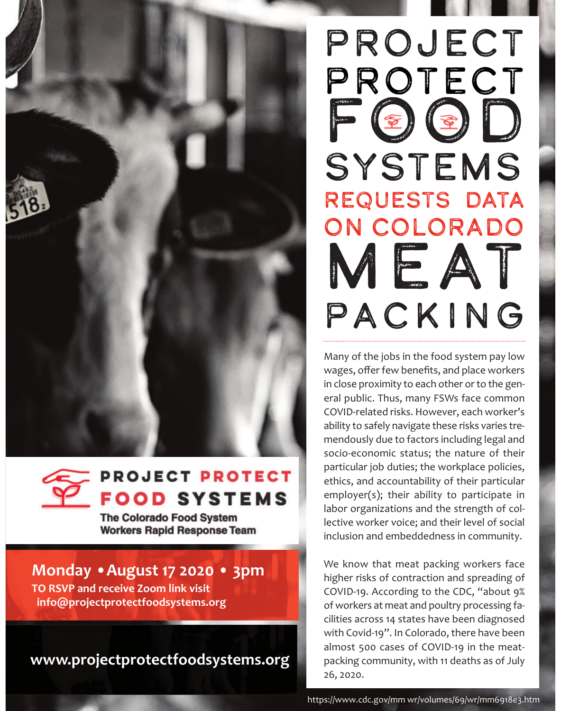



**The Colorado Food System Workers Rapid Response Team** 

## **Monday •August 17 2020 • 3pm**

**TO RSVP and receive Zoom link visit info@projectprotectfoodsystems.org**

## **www.projectprotectfoodsystems.org**

# PROJECT PROTECT  $F\circledast$ SYSTEMS REQUESTS DATA ON COLORADO MEAT PACKING

Many of the jobs in the food system pay low wages, offer few benefits, and place workers in close proximity to each other or to the general public. Thus, many FSWs face common COVID-related risks. However, each worker's ability to safely navigate these risks varies tremendously due to factors including legal and socio-economic status; the nature of their particular job duties; the workplace policies, ethics, and accountability of their particular employer(s); their ability to participate in labor organizations and the strength of collective worker voice; and their level of social inclusion and embeddedness in community.

We know that meat packing workers face higher risks of contraction and spreading of COVID-19. According to the CDC, "about 9% of workers at meat and poultry processing facilities across 14 states have been diagnosed with Covid-19". In Colorado, there have been almost 500 cases of COVID-19 in the meatpacking community, with 11 deaths as of July 26, 2020.